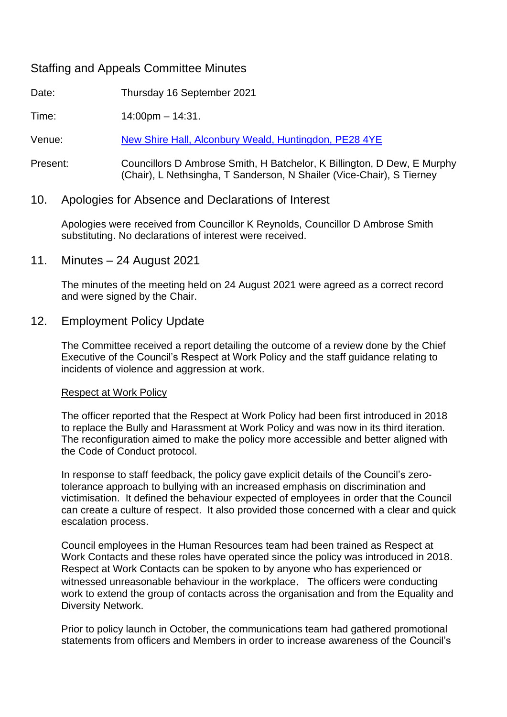# Staffing and Appeals Committee Minutes

Date: Thursday 16 September 2021

Time: 14:00pm – 14:31.

Venue: [New Shire Hall, Alconbury Weald, Huntingdon, PE28 4YE](https://cambridgeshire.cmis.uk.com/ccc_live/Meetings/tabid/70/ctl/MeetingVenueDetails/mid/397/VenueID/-1/Default.aspx)

Present: Councillors D Ambrose Smith, H Batchelor, K Billington, D Dew, E Murphy (Chair), L Nethsingha, T Sanderson, N Shailer (Vice-Chair), S Tierney

## 10. Apologies for Absence and Declarations of Interest

Apologies were received from Councillor K Reynolds, Councillor D Ambrose Smith substituting. No declarations of interest were received.

11. Minutes – 24 August 2021

The minutes of the meeting held on 24 August 2021 were agreed as a correct record and were signed by the Chair.

## 12. Employment Policy Update

The Committee received a report detailing the outcome of a review done by the Chief Executive of the Council's Respect at Work Policy and the staff guidance relating to incidents of violence and aggression at work.

### Respect at Work Policy

The officer reported that the Respect at Work Policy had been first introduced in 2018 to replace the Bully and Harassment at Work Policy and was now in its third iteration. The reconfiguration aimed to make the policy more accessible and better aligned with the Code of Conduct protocol.

In response to staff feedback, the policy gave explicit details of the Council's zerotolerance approach to bullying with an increased emphasis on discrimination and victimisation. It defined the behaviour expected of employees in order that the Council can create a culture of respect. It also provided those concerned with a clear and quick escalation process.

Council employees in the Human Resources team had been trained as Respect at Work Contacts and these roles have operated since the policy was introduced in 2018. Respect at Work Contacts can be spoken to by anyone who has experienced or witnessed unreasonable behaviour in the workplace. The officers were conducting work to extend the group of contacts across the organisation and from the Equality and Diversity Network.

Prior to policy launch in October, the communications team had gathered promotional statements from officers and Members in order to increase awareness of the Council's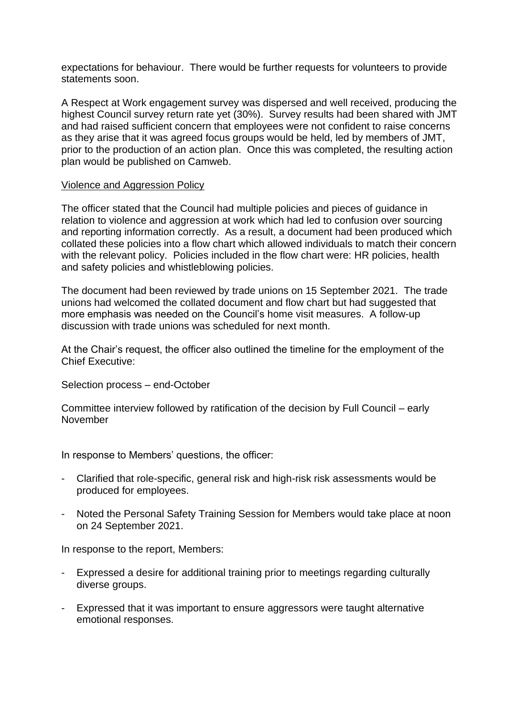expectations for behaviour. There would be further requests for volunteers to provide statements soon.

A Respect at Work engagement survey was dispersed and well received, producing the highest Council survey return rate yet (30%). Survey results had been shared with JMT and had raised sufficient concern that employees were not confident to raise concerns as they arise that it was agreed focus groups would be held, led by members of JMT, prior to the production of an action plan. Once this was completed, the resulting action plan would be published on Camweb.

#### Violence and Aggression Policy

The officer stated that the Council had multiple policies and pieces of guidance in relation to violence and aggression at work which had led to confusion over sourcing and reporting information correctly. As a result, a document had been produced which collated these policies into a flow chart which allowed individuals to match their concern with the relevant policy. Policies included in the flow chart were: HR policies, health and safety policies and whistleblowing policies.

The document had been reviewed by trade unions on 15 September 2021. The trade unions had welcomed the collated document and flow chart but had suggested that more emphasis was needed on the Council's home visit measures. A follow-up discussion with trade unions was scheduled for next month.

At the Chair's request, the officer also outlined the timeline for the employment of the Chief Executive:

Selection process – end-October

Committee interview followed by ratification of the decision by Full Council – early November

In response to Members' questions, the officer:

- Clarified that role-specific, general risk and high-risk risk assessments would be produced for employees.
- Noted the Personal Safety Training Session for Members would take place at noon on 24 September 2021.

In response to the report, Members:

- Expressed a desire for additional training prior to meetings regarding culturally diverse groups.
- Expressed that it was important to ensure aggressors were taught alternative emotional responses.